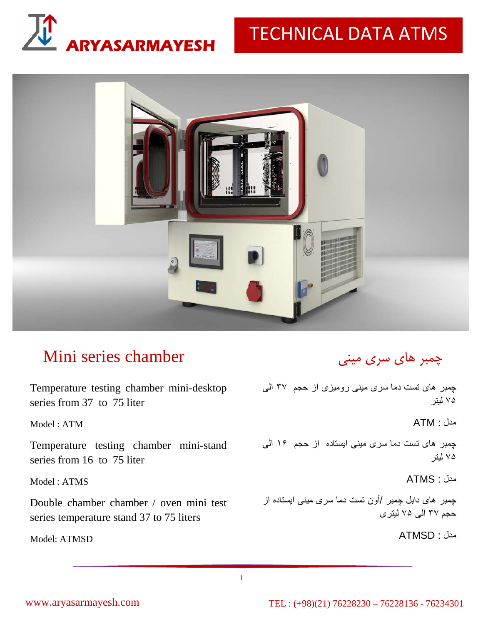

# TECHNICAL DATA ATMS



## Mini series chamber

Temperature testing chamber mini-desktop چمبر های تست دما سری مينی روميزی از حجم ٣٧ الی series from 37 to 75 liter

Model : ATM

Temperature testing chamber mini-stand series from 16 to 75 liter

Model : ATMS

Double chamber chamber / oven mini test series temperature stand 37 to 75 liters

Model: ATMSD

### چمبر هاي سري ميني

٧۵ ليتر

مدل : ATM

چمبر های تست دما سری مينی ايستاده از حجم ١۶ الی ٧۵ ليتر

مدل : ATMS

چمبر های دابل چمبر /آون تست دما سری مينی ايستاده از حجم ٣٧ الی ٧۵ ليتری

مدل : ATMSD